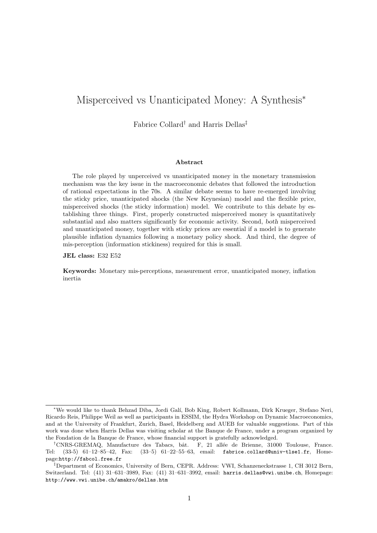# Misperceived vs Unanticipated Money: A Synthesis<sup>∗</sup>

Fabrice Collard† and Harris Dellas‡

#### Abstract

The role played by unperceived vs unanticipated money in the monetary transmission mechanism was the key issue in the macroeconomic debates that followed the introduction of rational expectations in the 70s. A similar debate seems to have re-emerged involving the sticky price, unanticipated shocks (the New Keynesian) model and the flexible price, misperceived shocks (the sticky information) model. We contribute to this debate by establishing three things. First, properly constructed misperceived money is quantitatively substantial and also matters significantly for economic activity. Second, both misperceived and unanticipated money, together with sticky prices are essential if a model is to generate plausible inflation dynamics following a monetary policy shock. And third, the degree of mis-perception (information stickiness) required for this is small.

JEL class: E32 E52

Keywords: Monetary mis-perceptions, measurement error, unanticipated money, inflation inertia

<sup>∗</sup>We would like to thank Behzad Diba, Jordi Gal´ı, Bob King, Robert Kollmann, Dirk Krueger, Stefano Neri, Ricardo Reis, Philippe Weil as well as participants in ESSIM, the Hydra Workshop on Dynamic Macroeconomics, and at the University of Frankfurt, Zurich, Basel, Heidelberg and AUEB for valuable suggestions. Part of this work was done when Harris Dellas was visiting scholar at the Banque de France, under a program organized by the Fondation de la Banque de France, whose financial support is gratefully acknowledged.

<sup>&</sup>lt;sup>†</sup>CNRS-GREMAQ, Manufacture des Tabacs, bât. F, 21 allée de Brienne, 31000 Toulouse, France. Tel: (33-5) 61–12–85–42, Fax: (33–5) 61–22–55–63, email: fabrice.collard@univ-tlse1.fr, Homepage:http://fabcol.free.fr

<sup>‡</sup>Department of Economics, University of Bern, CEPR. Address: VWI, Schanzeneckstrasse 1, CH 3012 Bern, Switzerland. Tel: (41) 31–631–3989, Fax: (41) 31–631–3992, email: harris.dellas@vwi.unibe.ch, Homepage: http://www.vwi.unibe.ch/amakro/dellas.htm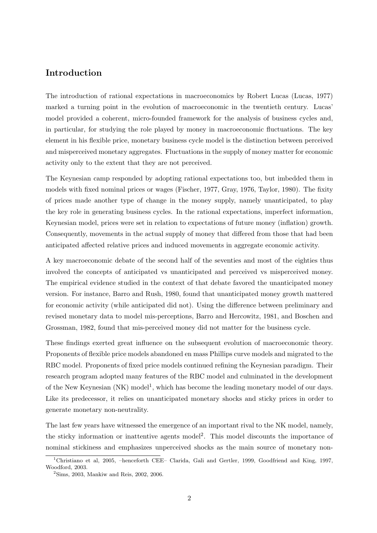# Introduction

The introduction of rational expectations in macroeconomics by Robert Lucas (Lucas, 1977) marked a turning point in the evolution of macroeconomic in the twentieth century. Lucas' model provided a coherent, micro-founded framework for the analysis of business cycles and, in particular, for studying the role played by money in macroeconomic fluctuations. The key element in his flexible price, monetary business cycle model is the distinction between perceived and misperceived monetary aggregates. Fluctuations in the supply of money matter for economic activity only to the extent that they are not perceived.

The Keynesian camp responded by adopting rational expectations too, but imbedded them in models with fixed nominal prices or wages (Fischer, 1977, Gray, 1976, Taylor, 1980). The fixity of prices made another type of change in the money supply, namely unanticipated, to play the key role in generating business cycles. In the rational expectations, imperfect information, Keynesian model, prices were set in relation to expectations of future money (inflation) growth. Consequently, movements in the actual supply of money that differed from those that had been anticipated affected relative prices and induced movements in aggregate economic activity.

A key macroeconomic debate of the second half of the seventies and most of the eighties thus involved the concepts of anticipated vs unanticipated and perceived vs misperceived money. The empirical evidence studied in the context of that debate favored the unanticipated money version. For instance, Barro and Rush, 1980, found that unanticipated money growth mattered for economic activity (while anticipated did not). Using the difference between preliminary and revised monetary data to model mis-perceptions, Barro and Hercowitz, 1981, and Boschen and Grossman, 1982, found that mis-perceived money did not matter for the business cycle.

These findings exerted great influence on the subsequent evolution of macroeconomic theory. Proponents of flexible price models abandoned en mass Phillips curve models and migrated to the RBC model. Proponents of fixed price models continued refining the Keynesian paradigm. Their research program adopted many features of the RBC model and culminated in the development of the New Keynesian  $(NK)$  model<sup>1</sup>, which has become the leading monetary model of our days. Like its predecessor, it relies on unanticipated monetary shocks and sticky prices in order to generate monetary non-neutrality.

The last few years have witnessed the emergence of an important rival to the NK model, namely, the sticky information or inattentive agents model<sup>2</sup>. This model discounts the importance of nominal stickiness and emphasizes unperceived shocks as the main source of monetary non-

<sup>&</sup>lt;sup>1</sup>Christiano et al, 2005, –henceforth CEE– Clarida, Gali and Gertler, 1999, Goodfriend and King, 1997, Woodford, 2003.

 $^{2}$ Sims, 2003, Mankiw and Reis, 2002, 2006.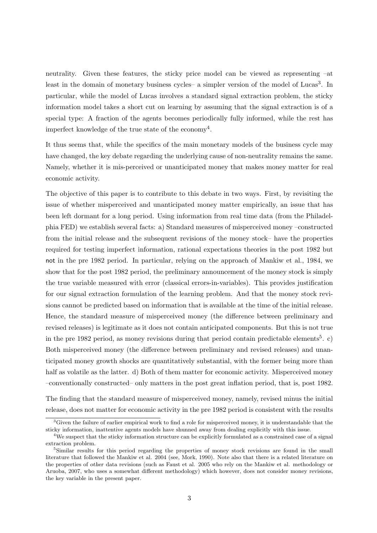neutrality. Given these features, the sticky price model can be viewed as representing –at least in the domain of monetary business cycles– a simpler version of the model of Lucas<sup>3</sup>. In particular, while the model of Lucas involves a standard signal extraction problem, the sticky information model takes a short cut on learning by assuming that the signal extraction is of a special type: A fraction of the agents becomes periodically fully informed, while the rest has imperfect knowledge of the true state of the economy<sup>4</sup>.

It thus seems that, while the specifics of the main monetary models of the business cycle may have changed, the key debate regarding the underlying cause of non-neutrality remains the same. Namely, whether it is mis-perceived or unanticipated money that makes money matter for real economic activity.

The objective of this paper is to contribute to this debate in two ways. First, by revisiting the issue of whether misperceived and unanticipated money matter empirically, an issue that has been left dormant for a long period. Using information from real time data (from the Philadelphia FED) we establish several facts: a) Standard measures of misperceived money –constructed from the initial release and the subsequent revisions of the money stock– have the properties required for testing imperfect information, rational expectations theories in the post 1982 but not in the pre 1982 period. In particular, relying on the approach of Mankiw et al., 1984, we show that for the post 1982 period, the preliminary announcement of the money stock is simply the true variable measured with error (classical errors-in-variables). This provides justification for our signal extraction formulation of the learning problem. And that the money stock revisions cannot be predicted based on information that is available at the time of the initial release. Hence, the standard measure of misperceived money (the difference between preliminary and revised releases) is legitimate as it does not contain anticipated components. But this is not true in the pre 1982 period, as money revisions during that period contain predictable elements<sup>5</sup>. c) Both misperceived money (the difference between preliminary and revised releases) and unanticipated money growth shocks are quantitatively substantial, with the former being more than half as volatile as the latter. d) Both of them matter for economic activity. Misperceived money –conventionally constructed– only matters in the post great inflation period, that is, post 1982.

The finding that the standard measure of misperceived money, namely, revised minus the initial release, does not matter for economic activity in the pre 1982 period is consistent with the results

 ${}^{3}$ Given the failure of earlier empirical work to find a role for misperceived money, it is understandable that the sticky information, inattentive agents models have shunned away from dealing explicitly with this issue.

<sup>&</sup>lt;sup>4</sup>We suspect that the sticky information structure can be explicitly formulated as a constrained case of a signal extraction problem.

<sup>&</sup>lt;sup>5</sup>Similar results for this period regarding the properties of money stock revisions are found in the small literature that followed the Mankiw et al. 2004 (see, Mork, 1990). Note also that there is a related literature on the properties of other data revisions (such as Faust et al. 2005 who rely on the Mankiw et al. methodology or Aruoba, 2007, who uses a somewhat different methodology) which however, does not consider money revisions, the key variable in the present paper.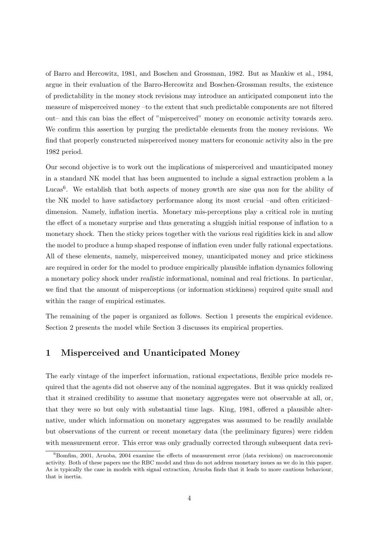of Barro and Hercowitz, 1981, and Boschen and Grossman, 1982. But as Mankiw et al., 1984, argue in their evaluation of the Barro-Hercowitz and Boschen-Grossman results, the existence of predictability in the money stock revisions may introduce an anticipated component into the measure of misperceived money –to the extent that such predictable components are not filtered out– and this can bias the effect of "misperceived" money on economic activity towards zero. We confirm this assertion by purging the predictable elements from the money revisions. We find that properly constructed misperceived money matters for economic activity also in the pre 1982 period.

Our second objective is to work out the implications of misperceived and unanticipated money in a standard NK model that has been augmented to include a signal extraction problem a la Lucas<sup>6</sup>. We establish that both aspects of money growth are sine qua non for the ability of the NK model to have satisfactory performance along its most crucial –and often criticized– dimension. Namely, inflation inertia. Monetary mis-perceptions play a critical role in muting the effect of a monetary surprise and thus generating a sluggish initial response of inflation to a monetary shock. Then the sticky prices together with the various real rigidities kick in and allow the model to produce a hump shaped response of inflation even under fully rational expectations. All of these elements, namely, misperceived money, unanticipated money and price stickiness are required in order for the model to produce empirically plausible inflation dynamics following a monetary policy shock under realistic informational, nominal and real frictions. In particular, we find that the amount of misperceptions (or information stickiness) required quite small and within the range of empirical estimates.

The remaining of the paper is organized as follows. Section 1 presents the empirical evidence. Section 2 presents the model while Section 3 discusses its empirical properties.

# 1 Misperceived and Unanticipated Money

The early vintage of the imperfect information, rational expectations, flexible price models required that the agents did not observe any of the nominal aggregates. But it was quickly realized that it strained credibility to assume that monetary aggregates were not observable at all, or, that they were so but only with substantial time lags. King, 1981, offered a plausible alternative, under which information on monetary aggregates was assumed to be readily available but observations of the current or recent monetary data (the preliminary figures) were ridden with measurement error. This error was only gradually corrected through subsequent data revi-

 ${}^{6}$ Bomfim, 2001, Aruoba, 2004 examine the effects of measurement error (data revisions) on macroeconomic activity. Both of these papers use the RBC model and thus do not address monetary issues as we do in this paper. As is typically the case in models with signal extraction, Aruoba finds that it leads to more cautious behaviour, that is inertia.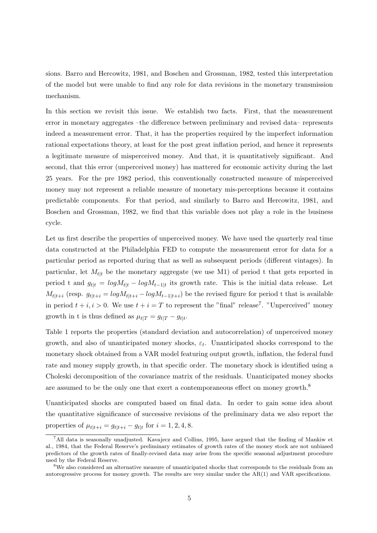sions. Barro and Hercowitz, 1981, and Boschen and Grossman, 1982, tested this interpretation of the model but were unable to find any role for data revisions in the monetary transmission mechanism.

In this section we revisit this issue. We establish two facts. First, that the measurement error in monetary aggregates –the difference between preliminary and revised data– represents indeed a measurement error. That, it has the properties required by the imperfect information rational expectations theory, at least for the post great inflation period, and hence it represents a legitimate measure of misperceived money. And that, it is quantitatively significant. And second, that this error (unperceived money) has mattered for economic activity during the last 25 years. For the pre 1982 period, this conventionally constructed measure of misperceived money may not represent a reliable measure of monetary mis-perceptions because it contains predictable components. For that period, and similarly to Barro and Hercowitz, 1981, and Boschen and Grossman, 1982, we find that this variable does not play a role in the business cycle.

Let us first describe the properties of unperceived money. We have used the quarterly real time data constructed at the Philadelphia FED to compute the measurement error for data for a particular period as reported during that as well as subsequent periods (different vintages). In particular, let  $M_{t|t}$  be the monetary aggregate (we use M1) of period t that gets reported in period t and  $g_{t|t} = log M_{t|t} - log M_{t-1|t}$  its growth rate. This is the initial data release. Let  $M_{t|t+i}$  (resp.  $g_{t|t+i} = log M_{t|t+i} - log M_{t-1|t+i}$ ) be the revised figure for period t that is available in period  $t + i, i > 0$ . We use  $t + i = T$  to represent the "final" release<sup>7</sup>. "Unperceived" money growth in t is thus defined as  $\mu_{t|T} = g_{t|T} - g_{t|t}$ .

Table 1 reports the properties (standard deviation and autocorrelation) of unperceived money growth, and also of unanticipated money shocks,  $\varepsilon_t$ . Unanticipated shocks correspond to the monetary shock obtained from a VAR model featuring output growth, inflation, the federal fund rate and money supply growth, in that specific order. The monetary shock is identified using a Choleski decomposition of the covariance matrix of the residuals. Unanticipated money shocks are assumed to be the only one that exert a contemporaneous effect on money growth.<sup>8</sup>

Unanticipated shocks are computed based on final data. In order to gain some idea about the quantitative significance of successive revisions of the preliminary data we also report the properties of  $\mu_{t|t+i} = g_{t|t+i} - g_{t|t}$  for  $i = 1, 2, 4, 8$ .

<sup>7</sup>All data is seasonally unadjusted. Kavajecz and Collins, 1995, have argued that the finding of Mankiw et al., 1984, that the Federal Reserve's preliminary estimates of growth rates of the money stock are not unbiased predictors of the growth rates of finally-revised data may arise from the specific seasonal adjustment procedure used by the Federal Reserve.

<sup>&</sup>lt;sup>8</sup>We also considered an alternative measure of unanticipated shocks that corresponds to the residuals from an autoregressive process for money growth. The results are very similar under the AR(1) and VAR specifications.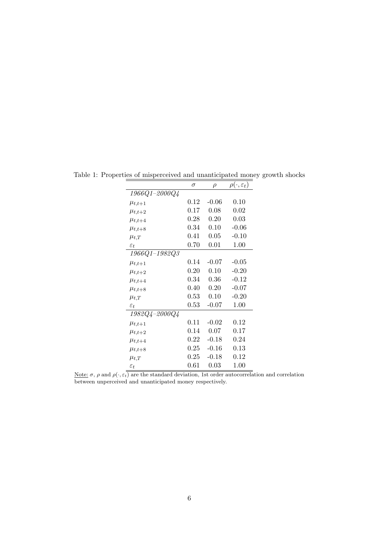|                         | $\sigma$ | $\rho$  | $\rho(\cdot,\varepsilon_t)$ |
|-------------------------|----------|---------|-----------------------------|
| $1966Q1 - 2000Q4$       |          |         |                             |
| $\mu_{t,t+1}$           | $0.12\,$ | $-0.06$ | 0.10                        |
| $\mu_{t,t+2}$           | 0.17     | 0.08    | 0.02                        |
| $\mu_{t,t+4}$           | 0.28     | 0.20    | 0.03                        |
| $\mu_{t,t+8}$           | 0.34     | 0.10    | $-0.06$                     |
| $\mu_{t,T}$             | 0.41     | 0.05    | $-0.10$                     |
| $\varepsilon_t$         | 0.70     | 0.01    | 1.00                        |
| $1966Q1 - 1982Q3$       |          |         |                             |
| $\mu_{t,t+1}$           | 0.14     | $-0.07$ | $-0.05$                     |
| $\mu_{t,t+2}$           | 0.20     | 0.10    | $-0.20$                     |
| $\mu_{t,t+4}$           | 0.34     | 0.36    | $-0.12$                     |
| $\mu_{t,t+8}$           | 0.40     | 0.20    | $-0.07$                     |
| $\mu_{t,T}$             | $0.53\,$ | 0.10    | $-0.20$                     |
| $\varepsilon_t$         | 0.53     | $-0.07$ | 1.00                        |
| $1982Q$ $4 - 2000Q$ $4$ |          |         |                             |
| $\mu_{t,t+1}$           | 0.11     | $-0.02$ | 0.12                        |
| $\mu_{t,t+2}$           | 0.14     | 0.07    | 0.17                        |
| $\mu_{t,t+4}$           | $0.22\,$ | $-0.18$ | 0.24                        |
| $\mu_{t,t+8}$           | 0.25     | $-0.16$ | 0.13                        |
| $\mu_{t,T}$             | 0.25     | $-0.18$ | 0.12                        |
| $\varepsilon_t$         | 0.61     | 0.03    | 1.00                        |

Table 1: Properties of misperceived and unanticipated money growth shocks

Note:  $\sigma$ ,  $\rho$  and  $\rho(\cdot, \varepsilon_t)$  are the standard deviation, 1st order autocorrelation and correlation between unperceived and unanticipated money respectively.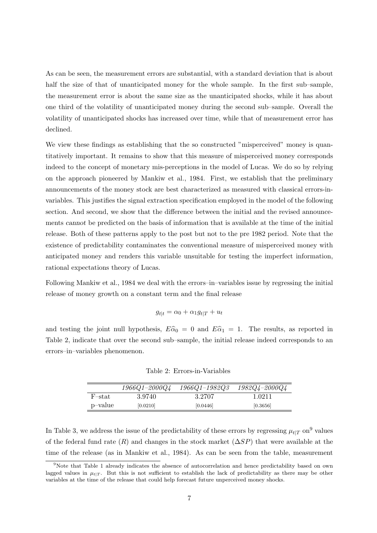As can be seen, the measurement errors are substantial, with a standard deviation that is about half the size of that of unanticipated money for the whole sample. In the first sub–sample, the measurement error is about the same size as the unanticipated shocks, while it has about one third of the volatility of unanticipated money during the second sub–sample. Overall the volatility of unanticipated shocks has increased over time, while that of measurement error has declined.

We view these findings as establishing that the so constructed "misperceived" money is quantitatively important. It remains to show that this measure of misperceived money corresponds indeed to the concept of monetary mis-perceptions in the model of Lucas. We do so by relying on the approach pioneered by Mankiw et al., 1984. First, we establish that the preliminary announcements of the money stock are best characterized as measured with classical errors-invariables. This justifies the signal extraction specification employed in the model of the following section. And second, we show that the difference between the initial and the revised announcements cannot be predicted on the basis of information that is available at the time of the initial release. Both of these patterns apply to the post but not to the pre 1982 period. Note that the existence of predictability contaminates the conventional measure of misperceived money with anticipated money and renders this variable unsuitable for testing the imperfect information, rational expectations theory of Lucas.

Following Mankiw et al., 1984 we deal with the errors–in–variables issue by regressing the initial release of money growth on a constant term and the final release

$$
g_{t|t} = \alpha_0 + \alpha_1 g_{t|T} + u_t
$$

and testing the joint null hypothesis,  $E\hat{\alpha}_0 = 0$  and  $E\hat{\alpha}_1 = 1$ . The results, as reported in Table 2, indicate that over the second sub–sample, the initial release indeed corresponds to an errors–in–variables phenomenon.

Table 2: Errors-in-Variables

|         | $1966Q1 - 2000Q4$ | $1966Q1 - 1982Q3$ | $1982Q4 - 2000Q4$ |
|---------|-------------------|-------------------|-------------------|
| F-stat  | 3.9740            | 3.2707            | 1.0211            |
| p-value | [0.0210]          | [0.0446]          | [0.3656]          |

In Table 3, we address the issue of the predictability of these errors by regressing  $\mu_{t|T}$  on<sup>9</sup> values of the federal fund rate  $(R)$  and changes in the stock market  $(\Delta SP)$  that were available at the time of the release (as in Mankiw et al., 1984). As can be seen from the table, measurement

<sup>&</sup>lt;sup>9</sup>Note that Table 1 already indicates the absence of autocorrelation and hence predictability based on own lagged values in  $\mu_{t|T}$ . But this is not sufficient to establish the lack of predictability as there may be other variables at the time of the release that could help forecast future unperceived money shocks.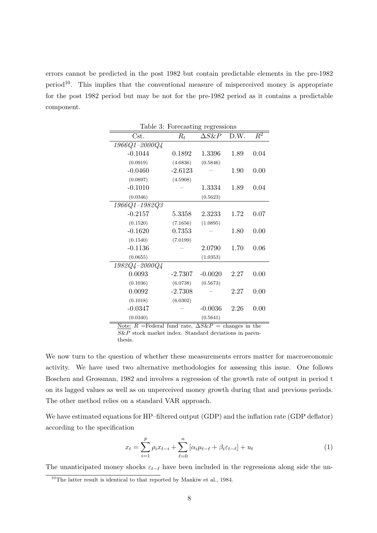errors cannot be predicted in the post 1982 but contain predictable elements in the pre-1982 period<sup>10</sup>. This implies that the conventional measure of misperceived money is appropriate for the post 1982 period but may be not for the pre-1982 period as it contains a predictable component.

| Table 3: Forecasting regressions |           |               |      |       |  |  |
|----------------------------------|-----------|---------------|------|-------|--|--|
| Cst.                             | $R_t$     | $\Delta S\&P$ | D.W. | $R^2$ |  |  |
| $1966Q1 - 2000Q4$                |           |               |      |       |  |  |
| $-0.1044$                        | 0.1892    | 1.3396        | 1.89 | 0.04  |  |  |
| (0.0919)                         | (4.6836)  | (0.5846)      |      |       |  |  |
| $-0.0460$                        | $-2.6123$ |               | 1.90 | 0.00  |  |  |
| (0.0897)                         | (4.5908)  |               |      |       |  |  |
| $-0.1010$                        |           | 1.3334        | 1.89 | 0.04  |  |  |
| (0.0346)                         |           | (0.5623)      |      |       |  |  |
| $1966Q1 - 1982Q3$                |           |               |      |       |  |  |
| $-0.2157$                        | 5.3358    | 2.3233        | 1.72 | 0.07  |  |  |
| (0.1520)                         | (7.1656)  | (1.0895)      |      |       |  |  |
| $-0.1620$                        | 0.7353    |               | 1.80 | 0.00  |  |  |
| (0.1540)                         | (7.0199)  |               |      |       |  |  |
| $-0.1136$                        |           | 2.0790        | 1.70 | 0.06  |  |  |
| (0.0655)                         |           | (1.0353)      |      |       |  |  |
| $1982Q$ $4 - 2000Q$ $4$          |           |               |      |       |  |  |
| 0.0093                           | $-2.7307$ | $-0.0020$     | 2.27 | 0.00  |  |  |
| (0.1036)                         | (6.0738)  | (0.5673)      |      |       |  |  |
| 0.0092                           | $-2.7308$ |               | 2.27 | 0.00  |  |  |
| (0.1018)                         | (6.0302)  |               |      |       |  |  |
| $-0.0347$                        |           | $-0.0036$     | 2.26 | 0.00  |  |  |
| (0.0340)                         |           | (0.5641)      |      |       |  |  |

Note:  $R$  =Federal fund rate,  $\Delta S\&P$  = changes in the  $S\&P$  stock market index. Standard deviations in parenthesis.

We now turn to the question of whether these measurements errors matter for macroeconomic activity. We have used two alternative methodologies for assessing this issue. One follows Boschen and Grossman, 1982 and involves a regression of the growth rate of output in period t on its lagged values as well as on unperceived money growth during that and previous periods. The other method relies on a standard VAR approach.

We have estimated equations for HP–filtered output (GDP) and the inflation rate (GDP deflator) according to the specification

$$
x_t = \sum_{i=1}^p \rho_i x_{t-i} + \sum_{\ell=0}^n \left[ \alpha_i \mu_{t-\ell} + \beta_i \varepsilon_{t-\ell} \right] + u_t \tag{1}
$$

The unanticipated money shocks  $\varepsilon_{t-\ell}$  have been included in the regressions along side the un-

 $10$ <sup>10</sup>The latter result is identical to that reported by Mankiw et al., 1984.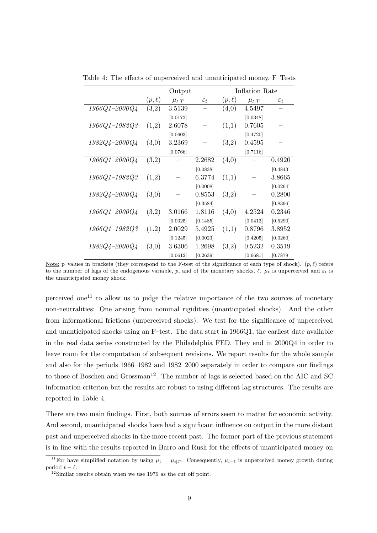|                         | Output     |             |                 | Inflation Rate |             |                 |
|-------------------------|------------|-------------|-----------------|----------------|-------------|-----------------|
|                         | $(p,\ell)$ | $\mu_{t T}$ | $\varepsilon_t$ | $(p,\ell)$     | $\mu_{t T}$ | $\varepsilon_t$ |
| $1966Q1 - 2000Q4$       | (3,2)      | 3.5139      |                 | (4,0)          | 4.5497      |                 |
|                         |            | [0.0172]    |                 |                | [0.0348]    |                 |
| $1966Q1 - 1982Q3$       | (1,2)      | 2.6078      |                 | (1,1)          | 0.7605      |                 |
|                         |            | [0.0603]    |                 |                | [0.4720]    |                 |
| $1982Q$ $4 - 2000Q$ $4$ | (3,0)      | 3.2369      |                 | (3,2)          | 0.4595      |                 |
|                         |            | [0.0766]    |                 |                | [0.7116]    |                 |
| $1966Q1 - 2000Q4$       | (3,2)      |             | 2.2682          | (4,0)          |             | 0.4920          |
|                         |            |             | [0.0838]        |                |             | [0.4843]        |
| $1966Q1 - 1982Q3$       | (1,2)      |             | 6.3774          | (1,1)          |             | 3.8665          |
|                         |            |             | [0.0008]        |                |             | [0.0264]        |
| $1982Q$ 4–2000 $Q$ 4    | (3,0)      |             | 0.8553          | (3,2)          |             | 0.2800          |
|                         |            |             | [0.3584]        |                |             | [0.8396]        |
| $1966Q1 - 2000Q4$       | (3,2)      | 3.0166      | 1.8116          | (4,0)          | 4.2524      | 0.2346          |
|                         |            | [0.0325]    | [0.1485]        |                | [0.0413]    | [0.6290]        |
| $1966Q1 - 1982Q3$       | (1,2)      | 2.0029      | 5.4925          | (1,1)          | 0.8796      | 3.8952          |
|                         |            | [0.1245]    | [0.0023]        |                | [0.4205]    | [0.0260]        |
| $1982Q$ 4–2000 $Q$ 4    | (3,0)      | 3.6306      | 1.2698          | (3,2)          | 0.5232      | 0.3519          |
|                         |            | [0.0612]    | [0.2639]        |                | [0.6681]    | [0.7879]        |

Table 4: The effects of unperceived and unanticipated money, F–Tests

perceived one<sup>11</sup> to allow us to judge the relative importance of the two sources of monetary non-neutralities: One arising from nominal rigidities (unanticipated shocks). And the other from informational frictions (unperceived shocks). We test for the significance of unperceived and unanticipated shocks using an F–test. The data start in 1966Q1, the earliest date available in the real data series constructed by the Philadelphia FED. They end in 2000Q4 in order to leave room for the computation of subsequent revisions. We report results for the whole sample and also for the periods 1966–1982 and 1982–2000 separately in order to compare our findings to those of Boschen and Grossman<sup>12</sup>. The number of lags is selected based on the AIC and SC information criterion but the results are robust to using different lag structures. The results are reported in Table 4.

There are two main findings. First, both sources of errors seem to matter for economic activity. And second, unanticipated shocks have had a significant influence on output in the more distant past and unperceived shocks in the more recent past. The former part of the previous statement is in line with the results reported in Barro and Rush for the effects of unanticipated money on

Note: p–values in brackets (they correspond to the F-test of the significance of each type of shock).  $(p, \ell)$  refers to the number of lags of the endogenous variable, p, and of the monetary shocks,  $\ell$ .  $\mu_t$  is unperceived and  $\varepsilon_t$  is the unanticipated money shock.

<sup>&</sup>lt;sup>11</sup>For have simplified notation by using  $\mu_t = \mu_t|_T$ . Consequently,  $\mu_{t-\ell}$  is unperceived money growth during period  $t - \ell$ .

 $12$ Similar results obtain when we use 1979 as the cut off point.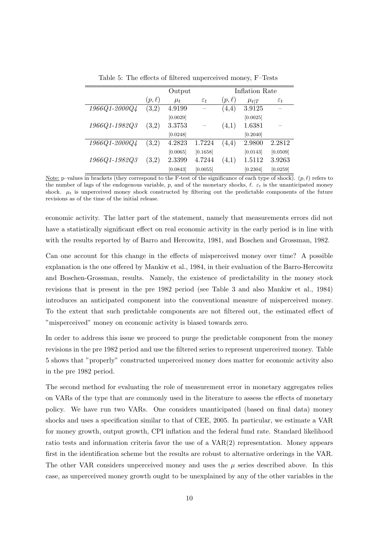|               | Output     |          |                 | Inflation Rate |             |                 |
|---------------|------------|----------|-----------------|----------------|-------------|-----------------|
|               | $(p,\ell)$ | $\mu_t$  | $\varepsilon_t$ | $(p,\ell)$     | $\mu_{t T}$ | $\varepsilon_t$ |
| 1966Q1-2000Q4 | (3,2)      | 4.9199   |                 | (4,4)          | 3.9125      |                 |
|               |            | [0.0029] |                 |                | [0.0025]    |                 |
| 1966Q1-1982Q3 | (3,2)      | 3.3753   |                 | (4,1)          | 1.6381      |                 |
|               |            | [0.0248] |                 |                | [0.2040]    |                 |
| 1966Q1-2000Q4 | (3,2)      | 4.2823   | 1.7224          | (4,4)          | 2.9800      | 2.2812          |
|               |            | [0.0065] | [0.1658]        |                | [0.0143]    | [0.0509]        |
| 1966Q1-1982Q3 | (3,2)      | 2.3399   | 4.7244          | (4,1)          | 1.5112      | 3.9263          |
|               |            | [0.0843] | [0.0055]        |                | [0.2304]    | [0.0259]        |

Table 5: The effects of filtered unperceived money, F–Tests

Note: p–values in brackets (they correspond to the F-test of the significance of each type of shock).  $(p, \ell)$  refers to the number of lags of the endogenous variable, p, and of the monetary shocks,  $\ell$ .  $\varepsilon_t$  is the unanticipated money shock.  $\mu_t$  is unperceived money shock constructed by filtering out the predictable components of the future revisions as of the time of the initial release.

economic activity. The latter part of the statement, namely that measurements errors did not have a statistically significant effect on real economic activity in the early period is in line with with the results reported by of Barro and Hercowitz, 1981, and Boschen and Grossman, 1982.

Can one account for this change in the effects of misperceived money over time? A possible explanation is the one offered by Mankiw et al., 1984, in their evaluation of the Barro-Hercowitz and Boschen-Grossman, results. Namely, the existence of predictability in the money stock revisions that is present in the pre 1982 period (see Table 3 and also Mankiw et al., 1984) introduces an anticipated component into the conventional measure of misperceived money. To the extent that such predictable components are not filtered out, the estimated effect of "misperceived" money on economic activity is biased towards zero.

In order to address this issue we proceed to purge the predictable component from the money revisions in the pre 1982 period and use the filtered series to represent unperceived money. Table 5 shows that "properly" constructed unperceived money does matter for economic activity also in the pre 1982 period.

The second method for evaluating the role of measurement error in monetary aggregates relies on VARs of the type that are commonly used in the literature to assess the effects of monetary policy. We have run two VARs. One considers unanticipated (based on final data) money shocks and uses a specification similar to that of CEE, 2005. In particular, we estimate a VAR for money growth, output growth, CPI inflation and the federal fund rate. Standard likelihood ratio tests and information criteria favor the use of a VAR(2) representation. Money appears first in the identification scheme but the results are robust to alternative orderings in the VAR. The other VAR considers unperceived money and uses the  $\mu$  series described above. In this case, as unperceived money growth ought to be unexplained by any of the other variables in the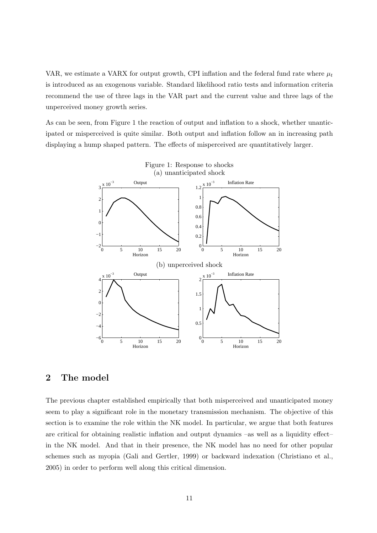VAR, we estimate a VARX for output growth, CPI inflation and the federal fund rate where  $\mu_t$ is introduced as an exogenous variable. Standard likelihood ratio tests and information criteria recommend the use of three lags in the VAR part and the current value and three lags of the unperceived money growth series.

As can be seen, from Figure 1 the reaction of output and inflation to a shock, whether unanticipated or misperceived is quite similar. Both output and inflation follow an in increasing path displaying a hump shaped pattern. The effects of misperceived are quantitatively larger.



# 2 The model

The previous chapter established empirically that both misperceived and unanticipated money seem to play a significant role in the monetary transmission mechanism. The objective of this section is to examine the role within the NK model. In particular, we argue that both features are critical for obtaining realistic inflation and output dynamics –as well as a liquidity effect– in the NK model. And that in their presence, the NK model has no need for other popular schemes such as myopia (Gali and Gertler, 1999) or backward indexation (Christiano et al., 2005) in order to perform well along this critical dimension.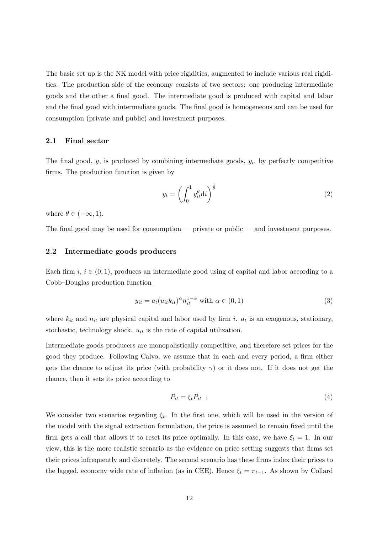The basic set up is the NK model with price rigidities, augmented to include various real rigidities. The production side of the economy consists of two sectors: one producing intermediate goods and the other a final good. The intermediate good is produced with capital and labor and the final good with intermediate goods. The final good is homogeneous and can be used for consumption (private and public) and investment purposes.

#### 2.1 Final sector

The final good,  $y$ , is produced by combining intermediate goods,  $y_i$ , by perfectly competitive firms. The production function is given by

$$
y_t = \left(\int_0^1 y_{it}^\theta \mathrm{d}i\right)^{\frac{1}{\theta}}\tag{2}
$$

where  $\theta \in (-\infty, 1)$ .

The final good may be used for consumption — private or public — and investment purposes.

#### 2.2 Intermediate goods producers

Each firm  $i, i \in (0, 1)$ , produces an intermediate good using of capital and labor according to a Cobb–Douglas production function

$$
y_{it} = a_t (u_{it} k_{it})^{\alpha} n_{it}^{1-\alpha} \text{ with } \alpha \in (0,1)
$$
 (3)

where  $k_{it}$  and  $n_{it}$  are physical capital and labor used by firm i.  $a_t$  is an exogenous, stationary, stochastic, technology shock.  $u_{it}$  is the rate of capital utilization.

Intermediate goods producers are monopolistically competitive, and therefore set prices for the good they produce. Following Calvo, we assume that in each and every period, a firm either gets the chance to adjust its price (with probability  $\gamma$ ) or it does not. If it does not get the chance, then it sets its price according to

$$
P_{it} = \xi_t P_{it-1} \tag{4}
$$

We consider two scenarios regarding  $\xi_t$ . In the first one, which will be used in the version of the model with the signal extraction formulation, the price is assumed to remain fixed until the firm gets a call that allows it to reset its price optimally. In this case, we have  $\xi_t = 1$ . In our view, this is the more realistic scenario as the evidence on price setting suggests that firms set their prices infrequently and discretely. The second scenario has these firms index their prices to the lagged, economy wide rate of inflation (as in CEE). Hence  $\xi_t = \pi_{t-1}$ . As shown by Collard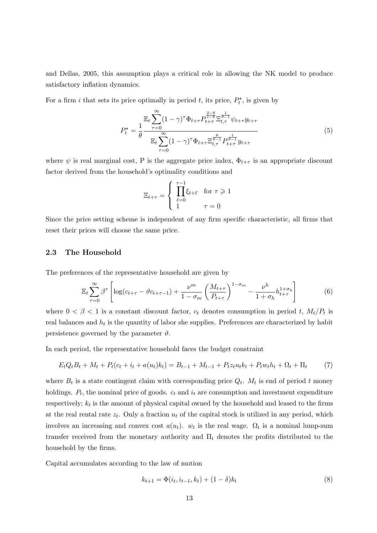and Dellas, 2005, this assumption plays a critical role in allowing the NK model to produce satisfactory inflation dynamics.

For a firm i that sets its price optimally in period t, its price,  $P_t^*$ , is given by

$$
P_t^{\star} = \frac{1}{\theta} \frac{\mathbb{E}_t \sum_{\tau=0}^{\infty} (1-\gamma)^{\tau} \Phi_{t+\tau} P_{t+\tau}^{\frac{2-\theta}{1-\theta}} \Xi_{t,\tau}^{\frac{1}{\theta-1}} \psi_{t+\tau} y_{t+\tau}}{\mathbb{E}_t \sum_{\tau=0}^{\infty} (1-\gamma)^{\tau} \Phi_{t+\tau} \Xi_{t,\tau}^{\frac{\theta}{\theta-1}} P_{t+\tau}^{\frac{1}{\theta-1}} y_{t+\tau}}
$$
(5)

where  $\psi$  is real marginal cost, P is the aggregate price index,  $\Phi_{t+\tau}$  is an appropriate discount factor derived from the household's optimality conditions and

$$
\Xi_{t+\tau} = \begin{cases} \prod_{\ell=0}^{\tau-1} \xi_{t+\ell} & \text{for } \tau \geq 1\\ 1 & \tau = 0 \end{cases}
$$

Since the price setting scheme is independent of any firm specific characteristic, all firms that reset their prices will choose the same price.

#### 2.3 The Household

The preferences of the representative household are given by

$$
\mathbb{E}_t \sum_{\tau=0}^{\infty} \beta^{\tau} \left[ \log(c_{t+\tau} - \vartheta c_{t+\tau-1}) + \frac{\nu^m}{1 - \sigma_m} \left( \frac{M_{t+\tau}}{P_{t+\tau}} \right)^{1 - \sigma_m} - \frac{\nu^h}{1 + \sigma_h} h_{t+\tau}^{1 + \sigma_h} \right] \tag{6}
$$

where  $0 < \beta < 1$  is a constant discount factor,  $c_t$  denotes consumption in period t,  $M_t/P_t$  is real balances and  $h_t$  is the quantity of labor she supplies. Preferences are characterized by habit persistence governed by the parameter  $\vartheta$ .

In each period, the representative household faces the budget constraint

$$
E_t Q_t B_t + M_t + P_t (c_t + i_t + a(u_t) k_t) = B_{t-1} + M_{t-1} + P_t z_t u_t k_t + P_t w_t h_t + \Omega_t + \Pi_t \tag{7}
$$

where  $B_t$  is a state contingent claim with corresponding price  $Q_t$ .  $M_t$  is end of period t money holdings.  $P_t$ , the nominal price of goods.  $c_t$  and  $i_t$  are consumption and investment expenditure respectively;  $k_t$  is the amount of physical capital owned by the household and leased to the firms at the real rental rate  $z_t$ . Only a fraction  $u_t$  of the capital stock is utilized in any period, which involves an increasing and convex cost  $a(u_t)$ .  $w_t$  is the real wage.  $\Omega_t$  is a nominal lump-sum transfer received from the monetary authority and  $\Pi_t$  denotes the profits distributed to the household by the firms.

Capital accumulates according to the law of motion

$$
k_{t+1} = \Phi(i_t, i_{t-1}, k_t) + (1 - \delta)k_t
$$
\n(8)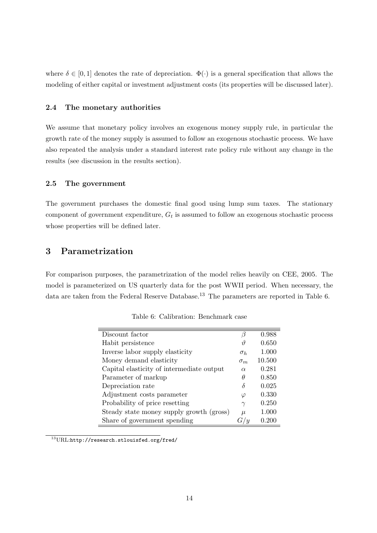where  $\delta \in [0, 1]$  denotes the rate of depreciation.  $\Phi(\cdot)$  is a general specification that allows the modeling of either capital or investment adjustment costs (its properties will be discussed later).

### 2.4 The monetary authorities

We assume that monetary policy involves an exogenous money supply rule, in particular the growth rate of the money supply is assumed to follow an exogenous stochastic process. We have also repeated the analysis under a standard interest rate policy rule without any change in the results (see discussion in the results section).

## 2.5 The government

The government purchases the domestic final good using lump sum taxes. The stationary component of government expenditure,  $G_t$  is assumed to follow an exogenous stochastic process whose properties will be defined later.

# 3 Parametrization

For comparison purposes, the parametrization of the model relies heavily on CEE, 2005. The model is parameterized on US quarterly data for the post WWII period. When necessary, the data are taken from the Federal Reserve Database.<sup>13</sup> The parameters are reported in Table 6.

| Discount factor                           |            | 0.988  |
|-------------------------------------------|------------|--------|
| Habit persistence                         | 1I         | 0.650  |
| Inverse labor supply elasticity           | $\sigma_h$ | 1.000  |
| Money demand elasticity                   | $\sigma_m$ | 10.500 |
| Capital elasticity of intermediate output | $\alpha$   | 0.281  |
| Parameter of markup                       | θ          | 0.850  |
| Depreciation rate                         | δ          | 0.025  |
| Adjustment costs parameter                | $\varphi$  | 0.330  |
| Probability of price resetting            | $\gamma$   | 0.250  |
| Steady state money supply growth (gross)  | $\mu$      | 1.000  |
| Share of government spending              |            | 0.200  |

Table 6: Calibration: Benchmark case

<sup>13</sup>URL:http://research.stlouisfed.org/fred/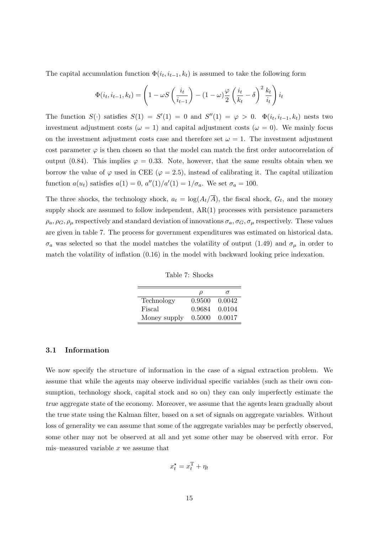The capital accumulation function  $\Phi(i_t, i_{t-1}, k_t)$  is assumed to take the following form

$$
\Phi(i_t, i_{t-1}, k_t) = \left(1 - \omega S\left(\frac{i_t}{i_{t-1}}\right) - (1 - \omega)\frac{\varphi}{2}\left(\frac{i_t}{k_t} - \delta\right)^2 \frac{k_t}{i_t}\right)i_t
$$

The function  $S(\cdot)$  satisfies  $S(1) = S'(1) = 0$  and  $S''(1) = \varphi > 0$ .  $\Phi(i_t, i_{t-1}, k_t)$  nests two investment adjustment costs ( $\omega = 1$ ) and capital adjustment costs ( $\omega = 0$ ). We mainly focus on the investment adjustment costs case and therefore set  $\omega = 1$ . The investment adjustment cost parameter  $\varphi$  is then chosen so that the model can match the first order autocorrelation of output (0.84). This implies  $\varphi = 0.33$ . Note, however, that the same results obtain when we borrow the value of  $\varphi$  used in CEE ( $\varphi = 2.5$ ), instead of calibrating it. The capital utilization function  $a(u_t)$  satisfies  $a(1) = 0$ ,  $a''(1)/a'(1) = 1/\sigma_a$ . We set  $\sigma_a = 100$ .

The three shocks, the technology shock,  $a_t = \log(A_t/A)$ , the fiscal shock,  $G_t$ , and the money supply shock are assumed to follow independent, AR(1) processes with persistence parameters  $\rho_a$ ,  $\rho_G$ ,  $\rho_\mu$  respectively and standard deviation of innovations  $\sigma_a$ ,  $\sigma_G$ ,  $\sigma_\mu$  respectively. These values are given in table 7. The process for government expenditures was estimated on historical data.  $\sigma_a$  was selected so that the model matches the volatility of output (1.49) and  $\sigma_\mu$  in order to match the volatility of inflation (0.16) in the model with backward looking price indexation.

Table 7: Shocks

|              | ν      |        |
|--------------|--------|--------|
| Technology   | 0.9500 | 0.0042 |
| Fiscal       | 0.9684 | 0.0104 |
| Money supply | 0.5000 | 0.0017 |

#### 3.1 Information

We now specify the structure of information in the case of a signal extraction problem. We assume that while the agents may observe individual specific variables (such as their own consumption, technology shock, capital stock and so on) they can only imperfectly estimate the true aggregate state of the economy. Moreover, we assume that the agents learn gradually about the true state using the Kalman filter, based on a set of signals on aggregate variables. Without loss of generality we can assume that some of the aggregate variables may be perfectly observed, some other may not be observed at all and yet some other may be observed with error. For mis–measured variable  $x$  we assume that

$$
x_t^\star = x_t^\mathrm{T} + \eta_t
$$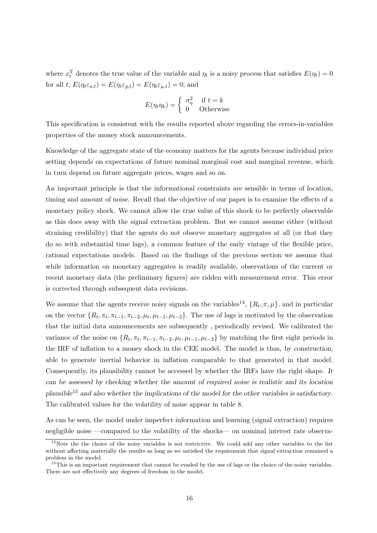where  $x_t^{\mathrm{T}}$  denotes the true value of the variable and  $\eta_t$  is a noisy process that satisfies  $E(\eta_t) = 0$ for all  $t; E(\eta_t \varepsilon_{a,t}) = E(\eta_t \varepsilon_{g,t}) = E(\eta_t \varepsilon_{\mu,t}) = 0;$  and

$$
E(\eta_t \eta_k) = \begin{cases} \sigma_{\eta}^2 & \text{if } t = k \\ 0 & \text{Otherwise} \end{cases}
$$

This specification is consistent with the results reported above regarding the errors-in-variables properties of the money stock announcements.

Knowledge of the aggregate state of the economy matters for the agents because individual price setting depends on expectations of future nominal marginal cost and marginal revenue, which in turn depend on future aggregate prices, wages and so on.

An important principle is that the informational constraints are sensible in terms of location, timing and amount of noise. Recall that the objective of our paper is to examine the effects of a monetary policy shock. We cannot allow the true value of this shock to be perfectly observable as this does away with the signal extraction problem. But we cannot assume either (without straining credibility) that the agents do not observe monetary aggregates at all (or that they do so with substantial time lags), a common feature of the early vintage of the flexible price, rational expectations models. Based on the findings of the previous section we assume that while information on monetary aggregates is readily available, observations of the current or recent monetary data (the preliminary figures) are ridden with measurement error. This error is corrected through subsequent data revisions.

We assume that the agents receive noisy signals on the variables<sup>14</sup>,  $\{R_t, \pi, \mu\}$ , and in particular on the vector  $\{R_t, \pi_t, \pi_{t-1}, \pi_{t-2}, \mu_t, \mu_{t-1}, \mu_{t-2}\}$ . The use of lags is motivated by the observation that the initial data announcements are subsequently , periodically revised. We calibrated the variance of the noise on  $\{R_t, \pi_t, \pi_{t-1}, \pi_{t-2}, \mu_t, \mu_{t-1}, \mu_{t-2}\}$  by matching the first eight periods in the IRF of inflation to a money shock in the CEE model. The model is thus, by construction, able to generate inertial behavior in inflation comparable to that generated in that model. Consequently, its plausibility cannot be accessed by whether the IRFs have the right shape. It can be assessed by checking whether the amount of required noise is realistic and its location plausible<sup>15</sup> and also whether the implications of the model for the other variables is satisfactory. The calibrated values for the volatility of noise appear in table 8.

As can be seen, the model under imperfect information and learning (signal extraction) requires negligible noise —compared to the volatility of the shocks— on nominal interest rate observa-

 $14$ Note the the choice of the noisy variables is not restrictive. We could add any other variables to the list without affecting materially the results as long as we satisfied the requirement that signal extraction remained a problem in the model.

 $15$ This is an important requirement that cannot be evaded by the use of lags or the choice of the noisy variables. There are not effectively any degrees of freedom in the model.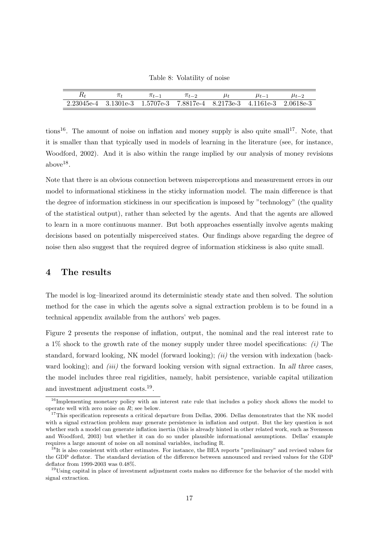Table 8: Volatility of noise

|                                                                                      |  | $\pi_{t-2}$ | $\mu_{t-1}$ | $\mu_{t-2}$ |
|--------------------------------------------------------------------------------------|--|-------------|-------------|-------------|
| $2.23045e-4$ $3.1301e-3$ $1.5707e-3$ $7.8817e-4$ $8.2173e-3$ $4.1161e-3$ $2.0618e-3$ |  |             |             |             |

tions<sup>16</sup>. The amount of noise on inflation and money supply is also quite small<sup>17</sup>. Note, that it is smaller than that typically used in models of learning in the literature (see, for instance, Woodford, 2002). And it is also within the range implied by our analysis of money revisions  $above^{18}$ .

Note that there is an obvious connection between misperceptions and measurement errors in our model to informational stickiness in the sticky information model. The main difference is that the degree of information stickiness in our specification is imposed by "technology" (the quality of the statistical output), rather than selected by the agents. And that the agents are allowed to learn in a more continuous manner. But both approaches essentially involve agents making decisions based on potentially misperceived states. Our findings above regarding the degree of noise then also suggest that the required degree of information stickiness is also quite small.

## 4 The results

The model is log–linearized around its deterministic steady state and then solved. The solution method for the case in which the agents solve a signal extraction problem is to be found in a technical appendix available from the authors' web pages.

Figure 2 presents the response of inflation, output, the nominal and the real interest rate to a 1% shock to the growth rate of the money supply under three model specifications:  $(i)$  The standard, forward looking, NK model (forward looking); *(ii)* the version with indexation (backward looking); and *(iii)* the forward looking version with signal extraction. In all three cases, the model includes three real rigidities, namely, habit persistence, variable capital utilization and investment adjustment costs.<sup>19</sup>.

<sup>&</sup>lt;sup>16</sup>Implementing monetary policy with an interest rate rule that includes a policy shock allows the model to operate well with zero noise on R; see below.

<sup>&</sup>lt;sup>17</sup>This specification represents a critical departure from Dellas, 2006. Dellas demonstrates that the NK model with a signal extraction problem may generate persistence in inflation and output. But the key question is not whether such a model can generate inflation inertia (this is already hinted in other related work, such as Svensson and Woodford, 2003) but whether it can do so under plausible informational assumptions. Dellas' example requires a large amount of noise on all nominal variables, including R.

<sup>&</sup>lt;sup>18</sup>It is also consistent with other estimates. For instance, the BEA reports "preliminary" and revised values for the GDP deflator. The standard deviation of the difference between announced and revised values for the GDP deflator from 1999-2003 was 0.48%.

<sup>&</sup>lt;sup>19</sup>Using capital in place of investment adjustment costs makes no difference for the behavior of the model with signal extraction.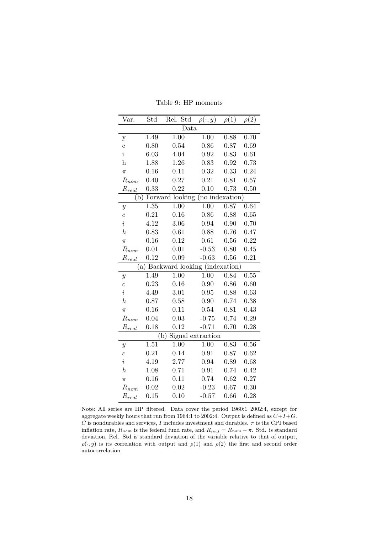| Var.              | Std  | Rel.<br>Std                   | $\rho(\cdot,y)$   | $\rho(1)$ | $\rho(2)$ |  |  |  |  |
|-------------------|------|-------------------------------|-------------------|-----------|-----------|--|--|--|--|
|                   | Data |                               |                   |           |           |  |  |  |  |
| $\mathbf y$       | 1.49 | 1.00                          | $\overline{1.00}$ | 0.88      | 0.70      |  |  |  |  |
| $\mathbf c$       | 0.80 | 0.54                          | 0.86              | 0.87      | 0.69      |  |  |  |  |
| $\mathbf{i}$      | 6.03 | 4.04                          | 0.92              | 0.83      | 0.61      |  |  |  |  |
| $\bold{h}$        | 1.88 | 1.26                          | 0.83              | 0.92      | 0.73      |  |  |  |  |
| $\pi$             | 0.16 | 0.11                          | 0.32              | 0.33      | 0.24      |  |  |  |  |
| $R_{nom}$         | 0.40 | 0.27                          | 0.21              | 0.81      | 0.57      |  |  |  |  |
| $R_{real}$        | 0.33 | 0.22                          | 0.10              | 0.73      | 0.50      |  |  |  |  |
| $\mathbf{b}$ )    |      | Forward looking               | (no indexation)   |           |           |  |  |  |  |
| $\boldsymbol{y}$  | 1.35 | 1.00                          | 1.00              | 0.87      | 0.64      |  |  |  |  |
| $\overline{c}$    | 0.21 | 0.16                          | 0.86              | 0.88      | 0.65      |  |  |  |  |
| $\dot{\imath}$    | 4.12 | 3.06                          | 0.94              | 0.90      | 0.70      |  |  |  |  |
| $\boldsymbol{h}$  | 0.83 | 0.61                          | 0.88              | 0.76      | 0.47      |  |  |  |  |
| $\pi$             | 0.16 | 0.12                          | 0.61              | 0.56      | 0.22      |  |  |  |  |
| $R_{nom}$         | 0.01 | 0.01                          | $-0.53$           | 0.80      | 0.45      |  |  |  |  |
| $R_{real}$        | 0.12 | 0.09                          | $-0.63$           | 0.56      | 0.21      |  |  |  |  |
|                   | (a)  | Backward looking (indexation) |                   |           |           |  |  |  |  |
| $\boldsymbol{y}$  | 1.49 | 1.00                          | 1.00              | 0.84      | 0.55      |  |  |  |  |
| $\boldsymbol{c}$  | 0.23 | 0.16                          | 0.90              | 0.86      | 0.60      |  |  |  |  |
| $\footnotesize i$ | 4.49 | 3.01                          | 0.95              | 0.88      | 0.63      |  |  |  |  |
| $\boldsymbol{h}$  | 0.87 | 0.58                          | 0.90              | 0.74      | 0.38      |  |  |  |  |
| $\pi$             | 0.16 | 0.11                          | 0.54              | 0.81      | 0.43      |  |  |  |  |
| $R_{nom}$         | 0.04 | 0.03                          | $-0.75$           | 0.74      | 0.29      |  |  |  |  |
| $R_{real}$        | 0.18 | 0.12                          | $-0.71$           | 0.70      | 0.28      |  |  |  |  |
|                   |      | Signal extraction<br>(b)      |                   |           |           |  |  |  |  |
| $\boldsymbol{y}$  | 1.51 | 1.00                          | 1.00              | 0.83      | 0.56      |  |  |  |  |
| $\overline{c}$    | 0.21 | 0.14                          | 0.91              | 0.87      | 0.62      |  |  |  |  |
| $\dot{\imath}$    | 4.19 | 2.77                          | 0.94              | 0.89      | 0.68      |  |  |  |  |
| $\boldsymbol{h}$  | 1.08 | 0.71                          | 0.91              | 0.74      | 0.42      |  |  |  |  |
| $\pi$             | 0.16 | 0.11                          | 0.74              | 0.62      | 0.27      |  |  |  |  |
| $R_{nom}$         | 0.02 | 0.02                          | $-0.23$           | 0.67      | 0.30      |  |  |  |  |
| $R_{real}$        | 0.15 | 0.10                          | $-0.57$           | 0.66      | 0.28      |  |  |  |  |

Table 9: HP moments

Note: All series are HP–filtered. Data cover the period 1960:1–2002:4, except for aggregate weekly hours that run from 1964:1 to 2002:4. Output is defined as  $C+I+G$ .  $C$  is nondurables and services,  $I$  includes investment and durables.  $\pi$  is the CPI based inflation rate,  $R_{nom}$  is the federal fund rate, and  $R_{real} = R_{nom} - \pi$ . Std. is standard deviation, Rel. Std is standard deviation of the variable relative to that of output,  $\rho(\cdot, y)$  is its correlation with output and  $\rho(1)$  and  $\rho(2)$  the first and second order autocorrelation.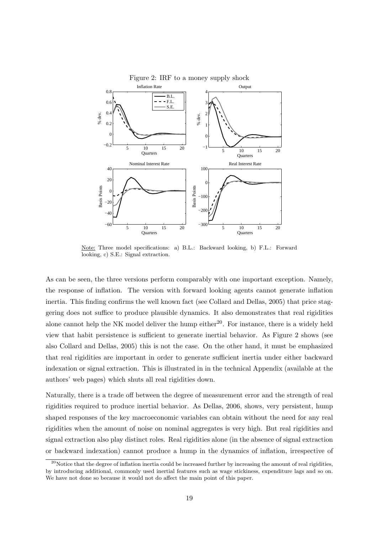

Figure 2: IRF to a money supply shock

Note: Three model specifications: a) B.L.: Backward looking, b) F.L.: Forward looking, c) S.E.: Signal extraction.

As can be seen, the three versions perform comparably with one important exception. Namely, the response of inflation. The version with forward looking agents cannot generate inflation inertia. This finding confirms the well known fact (see Collard and Dellas, 2005) that price staggering does not suffice to produce plausible dynamics. It also demonstrates that real rigidities alone cannot help the NK model deliver the hump either<sup>20</sup>. For instance, there is a widely held view that habit persistence is sufficient to generate inertial behavior. As Figure 2 shows (see also Collard and Dellas, 2005) this is not the case. On the other hand, it must be emphasized that real rigidities are important in order to generate sufficient inertia under either backward indexation or signal extraction. This is illustrated in in the technical Appendix (available at the authors' web pages) which shuts all real rigidities down.

Naturally, there is a trade off between the degree of measurement error and the strength of real rigidities required to produce inertial behavior. As Dellas, 2006, shows, very persistent, hump shaped responses of the key macroeconomic variables can obtain without the need for any real rigidities when the amount of noise on nominal aggregates is very high. But real rigidities and signal extraction also play distinct roles. Real rigidities alone (in the absence of signal extraction or backward indexation) cannot produce a hump in the dynamics of inflation, irrespective of

 $20$ Notice that the degree of inflation inertia could be increased further by increasing the amount of real rigidities, by introducing additional, commonly used inertial features such as wage stickiness, expenditure lags and so on. We have not done so because it would not do affect the main point of this paper.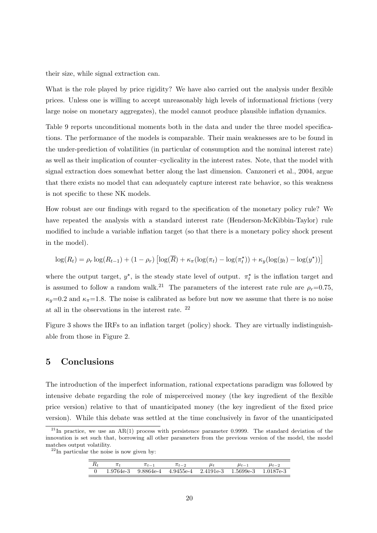their size, while signal extraction can.

What is the role played by price rigidity? We have also carried out the analysis under flexible prices. Unless one is willing to accept unreasonably high levels of informational frictions (very large noise on monetary aggregates), the model cannot produce plausible inflation dynamics.

Table 9 reports unconditional moments both in the data and under the three model specifications. The performance of the models is comparable. Their main weaknesses are to be found in the under-prediction of volatilities (in particular of consumption and the nominal interest rate) as well as their implication of counter–cyclicality in the interest rates. Note, that the model with signal extraction does somewhat better along the last dimension. Canzoneri et al., 2004, argue that there exists no model that can adequately capture interest rate behavior, so this weakness is not specific to these NK models.

How robust are our findings with regard to the specification of the monetary policy rule? We have repeated the analysis with a standard interest rate (Henderson-McKibbin-Taylor) rule modified to include a variable inflation target (so that there is a monetary policy shock present in the model).

$$
\log(R_t) = \rho_r \log(R_{t-1}) + (1 - \rho_r) \left[ \log(\overline{R}) + \kappa_\pi (\log(\pi_t) - \log(\pi_t^{\star})) + \kappa_y (\log(y_t) - \log(y^{\star})) \right]
$$

where the output target,  $y^*$ , is the steady state level of output.  $\pi_t^*$  is the inflation target and is assumed to follow a random walk.<sup>21</sup> The parameters of the interest rate rule are  $\rho_r=0.75$ ,  $\kappa_y=0.2$  and  $\kappa_{\pi}=1.8$ . The noise is calibrated as before but now we assume that there is no noise at all in the observations in the interest rate. <sup>22</sup>

Figure 3 shows the IRFs to an inflation target (policy) shock. They are virtually indistinguishable from those in Figure 2.

## 5 Conclusions

The introduction of the imperfect information, rational expectations paradigm was followed by intensive debate regarding the role of misperceived money (the key ingredient of the flexible price version) relative to that of unanticipated money (the key ingredient of the fixed price version). While this debate was settled at the time conclusively in favor of the unanticipated

 $22$ In particular the noise is now given by:

|  | $\pi_{t-1}$ | $\pi_{t-2}$ | $\mu_t$                                                                 | $\mu_{t-1}$ | $\mu_{t-2}$ |
|--|-------------|-------------|-------------------------------------------------------------------------|-------------|-------------|
|  |             |             | $1.9764e-3$ $9.8864e-4$ $4.9455e-4$ $2.4191e-3$ $1.5699e-3$ $1.0187e-3$ |             |             |

<sup>&</sup>lt;sup>21</sup>In practice, we use an AR(1) process with persistence parameter 0.9999. The standard deviation of the innovation is set such that, borrowing all other parameters from the previous version of the model, the model matches output volatility.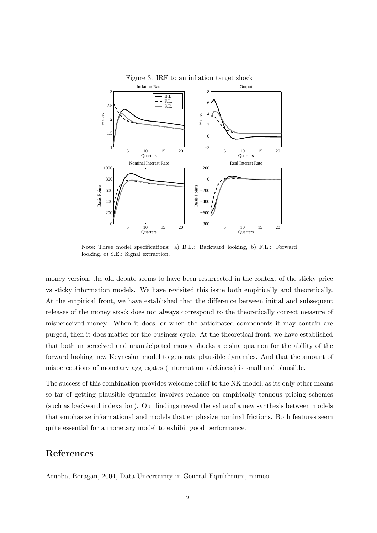

Figure 3: IRF to an inflation target shock

Note: Three model specifications: a) B.L.: Backward looking, b) F.L.: Forward looking, c) S.E.: Signal extraction.

money version, the old debate seems to have been resurrected in the context of the sticky price vs sticky information models. We have revisited this issue both empirically and theoretically. At the empirical front, we have established that the difference between initial and subsequent releases of the money stock does not always correspond to the theoretically correct measure of misperceived money. When it does, or when the anticipated components it may contain are purged, then it does matter for the business cycle. At the theoretical front, we have established that both unperceived and unanticipated money shocks are sina qua non for the ability of the forward looking new Keynesian model to generate plausible dynamics. And that the amount of misperceptions of monetary aggregates (information stickiness) is small and plausible.

The success of this combination provides welcome relief to the NK model, as its only other means so far of getting plausible dynamics involves reliance on empirically tenuous pricing schemes (such as backward indexation). Our findings reveal the value of a new synthesis between models that emphasize informational and models that emphasize nominal frictions. Both features seem quite essential for a monetary model to exhibit good performance.

## References

Aruoba, Boragan, 2004, Data Uncertainty in General Equilibrium, mimeo.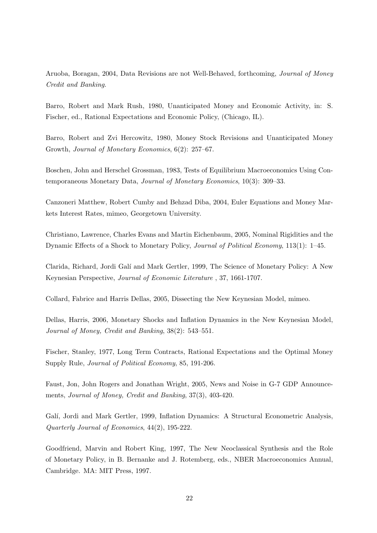Aruoba, Boragan, 2004, Data Revisions are not Well-Behaved, forthcoming, Journal of Money Credit and Banking.

Barro, Robert and Mark Rush, 1980, Unanticipated Money and Economic Activity, in: S. Fischer, ed., Rational Expectations and Economic Policy, (Chicago, IL).

Barro, Robert and Zvi Hercowitz, 1980, Money Stock Revisions and Unanticipated Money Growth, Journal of Monetary Economics, 6(2): 257–67.

Boschen, John and Herschel Grossman, 1983, Tests of Equilibrium Macroeconomics Using Contemporaneous Monetary Data, Journal of Monetary Economics, 10(3): 309–33.

Canzoneri Matthew, Robert Cumby and Behzad Diba, 2004, Euler Equations and Money Markets Interest Rates, mimeo, Georgetown University.

Christiano, Lawrence, Charles Evans and Martin Eichenbaum, 2005, Nominal Rigidities and the Dynamic Effects of a Shock to Monetary Policy, Journal of Political Economy, 113(1): 1–45.

Clarida, Richard, Jordi Gal´ı and Mark Gertler, 1999, The Science of Monetary Policy: A New Keynesian Perspective, Journal of Economic Literature , 37, 1661-1707.

Collard, Fabrice and Harris Dellas, 2005, Dissecting the New Keynesian Model, mimeo.

Dellas, Harris, 2006, Monetary Shocks and Inflation Dynamics in the New Keynesian Model, Journal of Money, Credit and Banking, 38(2): 543–551.

Fischer, Stanley, 1977, Long Term Contracts, Rational Expectations and the Optimal Money Supply Rule, Journal of Political Economy, 85, 191-206.

Faust, Jon, John Rogers and Jonathan Wright, 2005, News and Noise in G-7 GDP Announcements, Journal of Money, Credit and Banking, 37(3), 403-420.

Galí, Jordi and Mark Gertler, 1999, Inflation Dynamics: A Structural Econometric Analysis, Quarterly Journal of Economics, 44(2), 195-222.

Goodfriend, Marvin and Robert King, 1997, The New Neoclassical Synthesis and the Role of Monetary Policy, in B. Bernanke and J. Rotemberg, eds., NBER Macroeconomics Annual, Cambridge. MA: MIT Press, 1997.